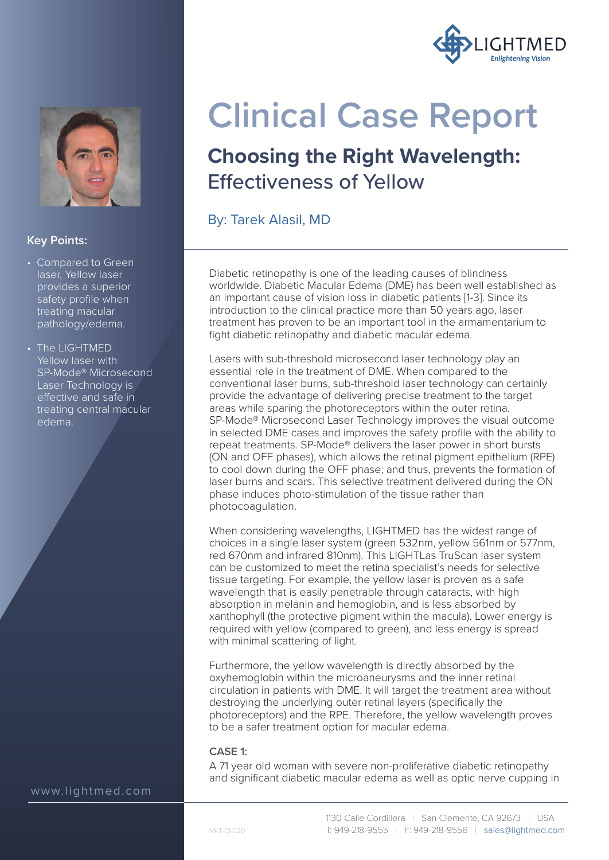



### **Key Points:**

- Compared to Green laser, Yellow laser provides a superior safety profile when treating macular pathology/edema.
- The LIGHTMED Yellow laser with SP-Mode® Microsecond Laser Technology is effective and safe in treating central macular edema.

www.lightmed.com

# **Clinical Case Report**

## **Choosing the Right Wavelength:**  Effectiveness of Yellow

By: Tarek Alasil, MD

Diabetic retinopathy is one of the leading causes of blindness worldwide. Diabetic Macular Edema (DME) has been well established as an important cause of vision loss in diabetic patients [1-3]. Since its introduction to the clinical practice more than 50 years ago, laser treatment has proven to be an important tool in the armamentarium to fight diabetic retinopathy and diabetic macular edema.

Lasers with sub-threshold microsecond laser technology play an essential role in the treatment of DME. When compared to the conventional laser burns, sub-threshold laser technology can certainly provide the advantage of delivering precise treatment to the target areas while sparing the photoreceptors within the outer retina. SP-Mode® Microsecond Laser Technology improves the visual outcome in selected DME cases and improves the safety profile with the ability to repeat treatments. SP-Mode® delivers the laser power in short bursts (ON and OFF phases), which allows the retinal pigment epithelium (RPE) to cool down during the OFF phase; and thus, prevents the formation of laser burns and scars. This selective treatment delivered during the ON phase induces photo-stimulation of the tissue rather than photocoagulation.

When considering wavelengths, LIGHTMED has the widest range of choices in a single laser system (green 532nm, yellow 561nm or 577nm, red 670nm and infrared 810nm). This LIGHTLas TruScan laser system can be customized to meet the retina specialist's needs for selective tissue targeting. For example, the yellow laser is proven as a safe wavelength that is easily penetrable through cataracts, with high absorption in melanin and hemoglobin, and is less absorbed by xanthophyll (the protective pigment within the macula). Lower energy is required with yellow (compared to green), and less energy is spread with minimal scattering of light.

Furthermore, the yellow wavelength is directly absorbed by the oxyhemoglobin within the microaneurysms and the inner retinal circulation in patients with DME. It will target the treatment area without destroying the underlying outer retinal layers (specifically the photoreceptors) and the RPE. Therefore, the yellow wavelength proves to be a safer treatment option for macular edema.

### **CASE 1:**

A 71 year old woman with severe non-proliferative diabetic retinopathy and significant diabetic macular edema as well as optic nerve cupping in